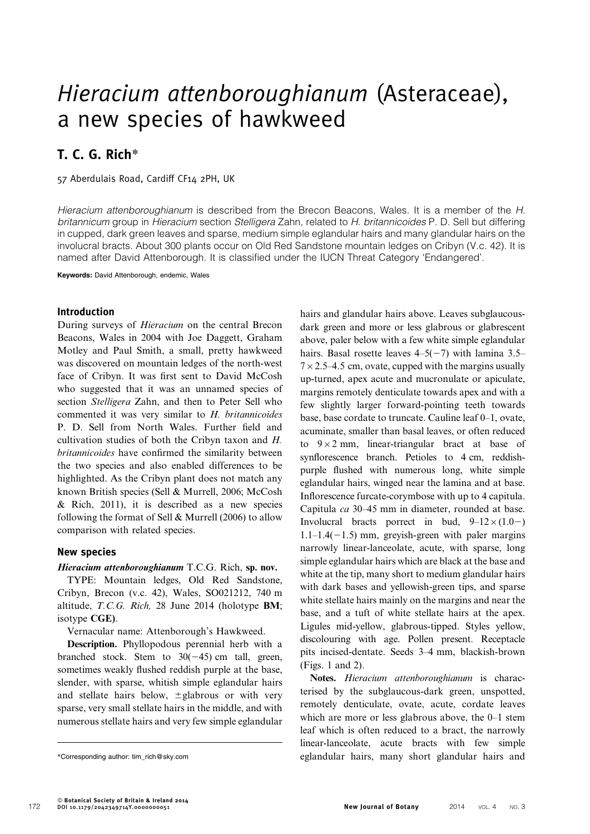# Hieracium attenboroughianum (Asteraceae), a new species of hawkweed

## T. C. G. Rich\*

57 Aberdulais Road, Cardiff CF14 2PH, UK

Hieracium attenboroughianum is described from the Brecon Beacons, Wales. It is a member of the H. britannicum group in Hieracium section Stelligera Zahn, related to H. britannicoides P. D. Sell but differing in cupped, dark green leaves and sparse, medium simple eglandular hairs and many glandular hairs on the involucral bracts. About 300 plants occur on Old Red Sandstone mountain ledges on Cribyn (V.c. 42). It is named after David Attenborough. It is classified under the IUCN Threat Category 'Endangered'.

Keywords: David Attenborough, endemic, Wales

### Introduction

During surveys of Hieracium on the central Brecon Beacons, Wales in 2004 with Joe Daggett, Graham Motley and Paul Smith, a small, pretty hawkweed was discovered on mountain ledges of the north-west face of Cribyn. It was first sent to David McCosh who suggested that it was an unnamed species of section Stelligera Zahn, and then to Peter Sell who commented it was very similar to H. britannicoides P. D. Sell from North Wales. Further field and cultivation studies of both the Cribyn taxon and H. britannicoides have confirmed the similarity between the two species and also enabled differences to be highlighted. As the Cribyn plant does not match any known British species (Sell & Murrell, 2006; McCosh & Rich, 2011), it is described as a new species following the format of Sell & Murrell (2006) to allow comparison with related species.

#### New species

#### Hieracium attenboroughianum T.C.G. Rich, sp. nov.

TYPE: Mountain ledges, Old Red Sandstone, Cribyn, Brecon (v.c. 42), Wales, SO021212, 740 m altitude, T.C.G. Rich, 28 June 2014 (holotype BM; isotype CGE).

Vernacular name: Attenborough's Hawkweed.

Description. Phyllopodous perennial herb with a branched stock. Stem to  $30(-45)$  cm tall, green, sometimes weakly flushed reddish purple at the base, slender, with sparse, whitish simple eglandular hairs and stellate hairs below,  $\pm$ glabrous or with very sparse, very small stellate hairs in the middle, and with numerous stellate hairs and very few simple eglandular hairs and glandular hairs above. Leaves subglaucousdark green and more or less glabrous or glabrescent above, paler below with a few white simple eglandular hairs. Basal rosette leaves  $4-5(-7)$  with lamina 3.5–  $7 \times 2.5$ –4.5 cm, ovate, cupped with the margins usually up-turned, apex acute and mucronulate or apiculate, margins remotely denticulate towards apex and with a few slightly larger forward-pointing teeth towards base, base cordate to truncate. Cauline leaf 0–1, ovate, acuminate, smaller than basal leaves, or often reduced to  $9 \times 2$  mm, linear-triangular bract at base of synflorescence branch. Petioles to 4 cm, reddishpurple flushed with numerous long, white simple eglandular hairs, winged near the lamina and at base. Inflorescence furcate-corymbose with up to 4 capitula. Capitula ca 30–45 mm in diameter, rounded at base. Involucral bracts porrect in bud,  $9-12\times(1.0-)$  $1.1-1.4(-1.5)$  mm, greyish-green with paler margins narrowly linear-lanceolate, acute, with sparse, long simple eglandular hairs which are black at the base and white at the tip, many short to medium glandular hairs with dark bases and yellowish-green tips, and sparse white stellate hairs mainly on the margins and near the base, and a tuft of white stellate hairs at the apex. Ligules mid-yellow, glabrous-tipped. Styles yellow, discolouring with age. Pollen present. Receptacle pits incised-dentate. Seeds 3–4 mm, blackish-brown (Figs. 1 and 2).

Notes. Hieracium attenboroughianum is characterised by the subglaucous-dark green, unspotted, remotely denticulate, ovate, acute, cordate leaves which are more or less glabrous above, the 0–1 stem leaf which is often reduced to a bract, the narrowly linear-lanceolate, acute bracts with few simple \*Corresponding author: tim\_rich@sky.com eglandular hairs, many short glandular hairs and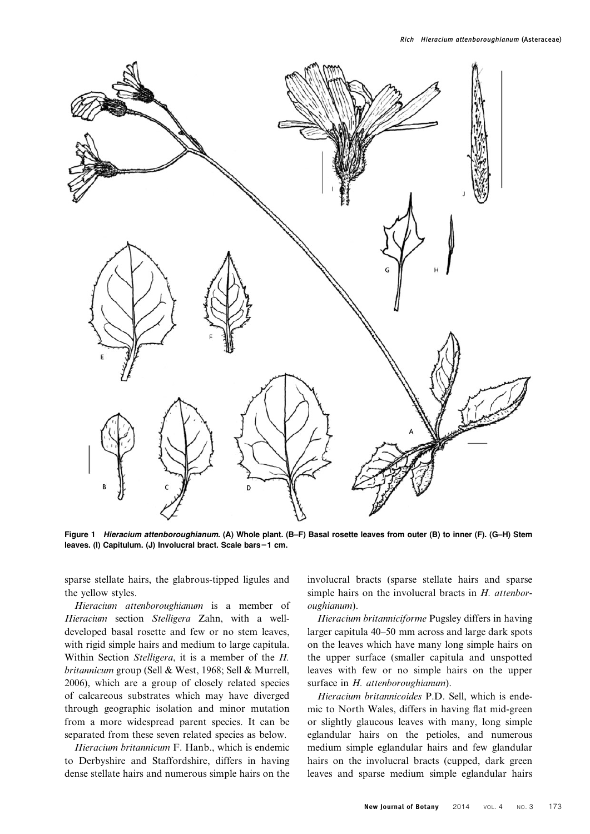

Figure 1 Hieracium attenboroughianum. (A) Whole plant. (B–F) Basal rosette leaves from outer (B) to inner (F). (G–H) Stem leaves. (I) Capitulum. (J) Involucral bract. Scale bars=1 cm.

sparse stellate hairs, the glabrous-tipped ligules and the yellow styles.

Hieracium attenboroughianum is a member of Hieracium section Stelligera Zahn, with a welldeveloped basal rosette and few or no stem leaves, with rigid simple hairs and medium to large capitula. Within Section Stelligera, it is a member of the H. britannicum group (Sell & West, 1968; Sell & Murrell, 2006), which are a group of closely related species of calcareous substrates which may have diverged through geographic isolation and minor mutation from a more widespread parent species. It can be separated from these seven related species as below.

Hieracium britannicum F. Hanb., which is endemic to Derbyshire and Staffordshire, differs in having dense stellate hairs and numerous simple hairs on the involucral bracts (sparse stellate hairs and sparse simple hairs on the involucral bracts in  $H$ . attenboroughianum).

Hieracium britanniciforme Pugsley differs in having larger capitula 40–50 mm across and large dark spots on the leaves which have many long simple hairs on the upper surface (smaller capitula and unspotted leaves with few or no simple hairs on the upper surface in H. attenboroughianum).

Hieracium britannicoides P.D. Sell, which is endemic to North Wales, differs in having flat mid-green or slightly glaucous leaves with many, long simple eglandular hairs on the petioles, and numerous medium simple eglandular hairs and few glandular hairs on the involucral bracts (cupped, dark green leaves and sparse medium simple eglandular hairs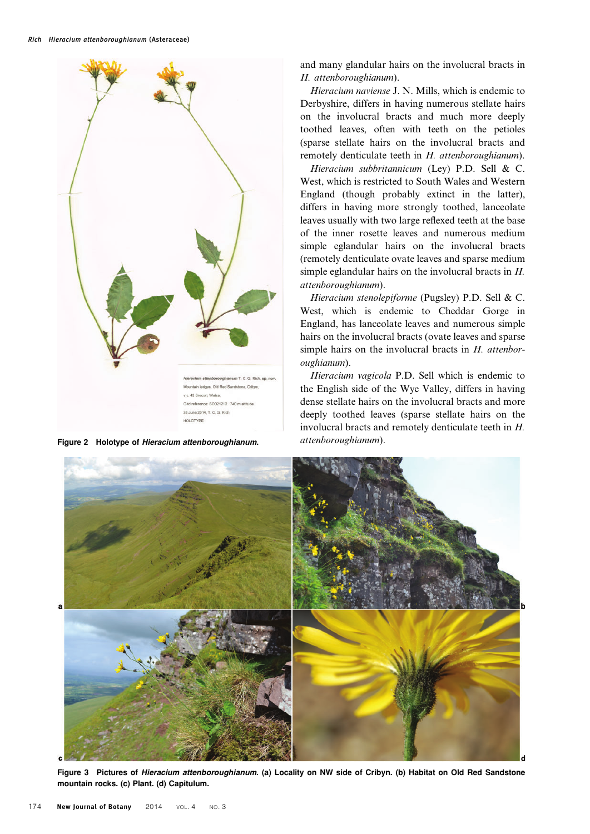

Figure 2 Holotype of Hieracium attenboroughianum. attenboroughianum).

and many glandular hairs on the involucral bracts in H. attenboroughianum).

Hieracium naviense J. N. Mills, which is endemic to Derbyshire, differs in having numerous stellate hairs on the involucral bracts and much more deeply toothed leaves, often with teeth on the petioles (sparse stellate hairs on the involucral bracts and remotely denticulate teeth in H. attenboroughianum).

Hieracium subbritannicum (Ley) P.D. Sell & C. West, which is restricted to South Wales and Western England (though probably extinct in the latter), differs in having more strongly toothed, lanceolate leaves usually with two large reflexed teeth at the base of the inner rosette leaves and numerous medium simple eglandular hairs on the involucral bracts (remotely denticulate ovate leaves and sparse medium simple eglandular hairs on the involucral bracts in H. attenboroughianum).

Hieracium stenolepiforme (Pugsley) P.D. Sell & C. West, which is endemic to Cheddar Gorge in England, has lanceolate leaves and numerous simple hairs on the involucral bracts (ovate leaves and sparse simple hairs on the involucral bracts in H. attenboroughianum).

Hieracium vagicola P.D. Sell which is endemic to the English side of the Wye Valley, differs in having dense stellate hairs on the involucral bracts and more deeply toothed leaves (sparse stellate hairs on the involucral bracts and remotely denticulate teeth in H.



Figure 3 Pictures of Hieracium attenboroughianum. (a) Locality on NW side of Cribyn. (b) Habitat on Old Red Sandstone mountain rocks. (c) Plant. (d) Capitulum.